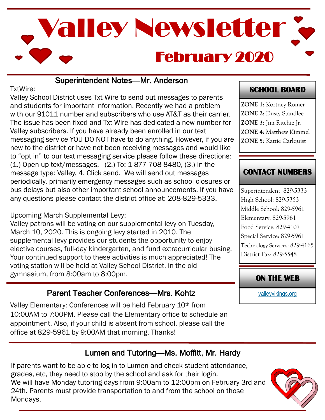# February 2020 Valley Newsletter

#### Superintendent Notes—Mr. Anderson

TxtWire:

Valley School District uses Txt Wire to send out messages to parents and students for important information. Recently we had a problem with our 91011 number and subscribers who use AT&T as their carrier. The issue has been fixed and Txt Wire has dedicated a new number for Valley subscribers. If you have already been enrolled in our text messaging service YOU DO NOT have to do anything. However, if you are new to the district or have not been receiving messages and would like to "opt in" to our text messaging service please follow these directions: (1.) Open up text/messages, (2.) To: 1-877-708-8480, (3.) In the message type: Valley, 4. Click send. We will send out messages periodically, primarily emergency messages such as school closures or bus delays but also other important school announcements. If you have any questions please contact the district office at: 208-829-5333.

#### Upcoming March Supplemental Levy:

Valley patrons will be voting on our supplemental levy on Tuesday, March 10, 2020. This is ongoing levy started in 2010. The supplemental levy provides our students the opportunity to enjoy elective courses, full-day kindergarten, and fund extracurricular busing. Your continued support to these activities is much appreciated! The voting station will be held at Valley School District, in the old gymnasium, from 8:00am to 8:00pm.

# Parent Teacher Conferences—Mrs. Kohtz

Valley Elementary: Conferences will be held February 10th from 10:00AM to 7:00PM. Please call the Elementary office to schedule an appointment. Also, if your child is absent from school, please call the office at 829-5961 by 9:00AM that morning. Thanks!

#### **SCHOOL BOARD**

**ZONE 1**: Kortney Romer **ZONE 2**: Dusty Standlee **ZONE 3**: Jim Ritchie Jr. **ZONE 4**: Matthew Kimmel **ZONE 5**: Kattie Carlquist

## **CONTACT NUMBERS**

Superintendent: 829-5333 High School: 829-5353 Middle School: 829-5961 Elementary: 829-5961 Food Service: 829-4107 Special Service: 829-5961 Technology Services: 829-4165 District Fax: 829-5548

## **ON THE WEB**

[valleyvikings.org](http://www.valleyvikings.org/)

## Lumen and Tutoring—Ms. Moffitt, Mr. Hardy

If parents want to be able to log in to Lumen and check student attendance, grades, etc, they need to stop by the school and ask for their login. We will have Monday tutoring days from 9:00am to 12:00pm on February 3rd and 24th. Parents must provide transportation to and from the school on those Mondays.

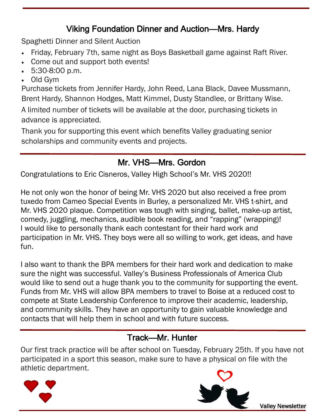# Viking Foundation Dinner and Auction—Mrs. Hardy

Spaghetti Dinner and Silent Auction

- Friday, February 7th, same night as Boys Basketball game against Raft River.
- Come out and support both events!
- 5:30-8:00 p.m.
- Old Gym

Purchase tickets from Jennifer Hardy, John Reed, Lana Black, Davee Mussmann, Brent Hardy, Shannon Hodges, Matt Kimmel, Dusty Standlee, or Brittany Wise.

A limited number of tickets will be available at the door, purchasing tickets in advance is appreciated.

Thank you for supporting this event which benefits Valley graduating senior scholarships and community events and projects.

# Mr. VHS—Mrs. Gordon

Congratulations to Eric Cisneros, Valley High School's Mr. VHS 2020!!

He not only won the honor of being Mr. VHS 2020 but also received a free prom tuxedo from Cameo Special Events in Burley, a personalized Mr. VHS t-shirt, and Mr. VHS 2020 plaque. Competition was tough with singing, ballet, make-up artist, comedy, juggling, mechanics, audible book reading, and "rapping" (wrapping)! I would like to personally thank each contestant for their hard work and participation in Mr. VHS. They boys were all so willing to work, get ideas, and have fun.

I also want to thank the BPA members for their hard work and dedication to make sure the night was successful. Valley's Business Professionals of America Club would like to send out a huge thank you to the community for supporting the event. Funds from Mr. VHS will allow BPA members to travel to Boise at a reduced cost to compete at State Leadership Conference to improve their academic, leadership, and community skills. They have an opportunity to gain valuable knowledge and contacts that will help them in school and with future success.

# Track—Mr. Hunter

Our first track practice will be after school on Tuesday, February 25th. If you have not participated in a sport this season, make sure to have a physical on file with the athletic department.





Valley Newsletter